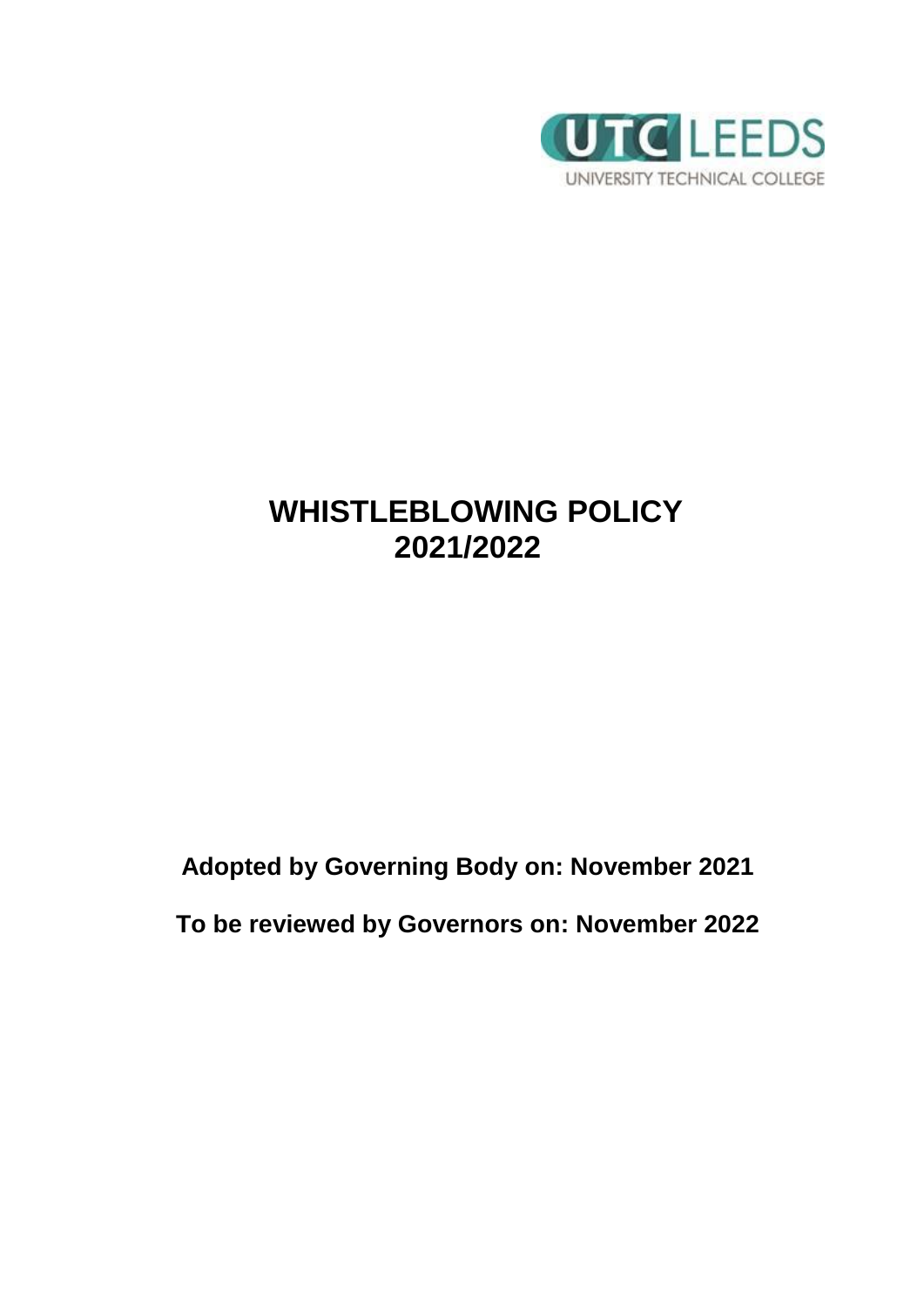

# **WHISTLEBLOWING POLICY 2021/2022**

**Adopted by Governing Body on: November 2021**

**To be reviewed by Governors on: November 2022**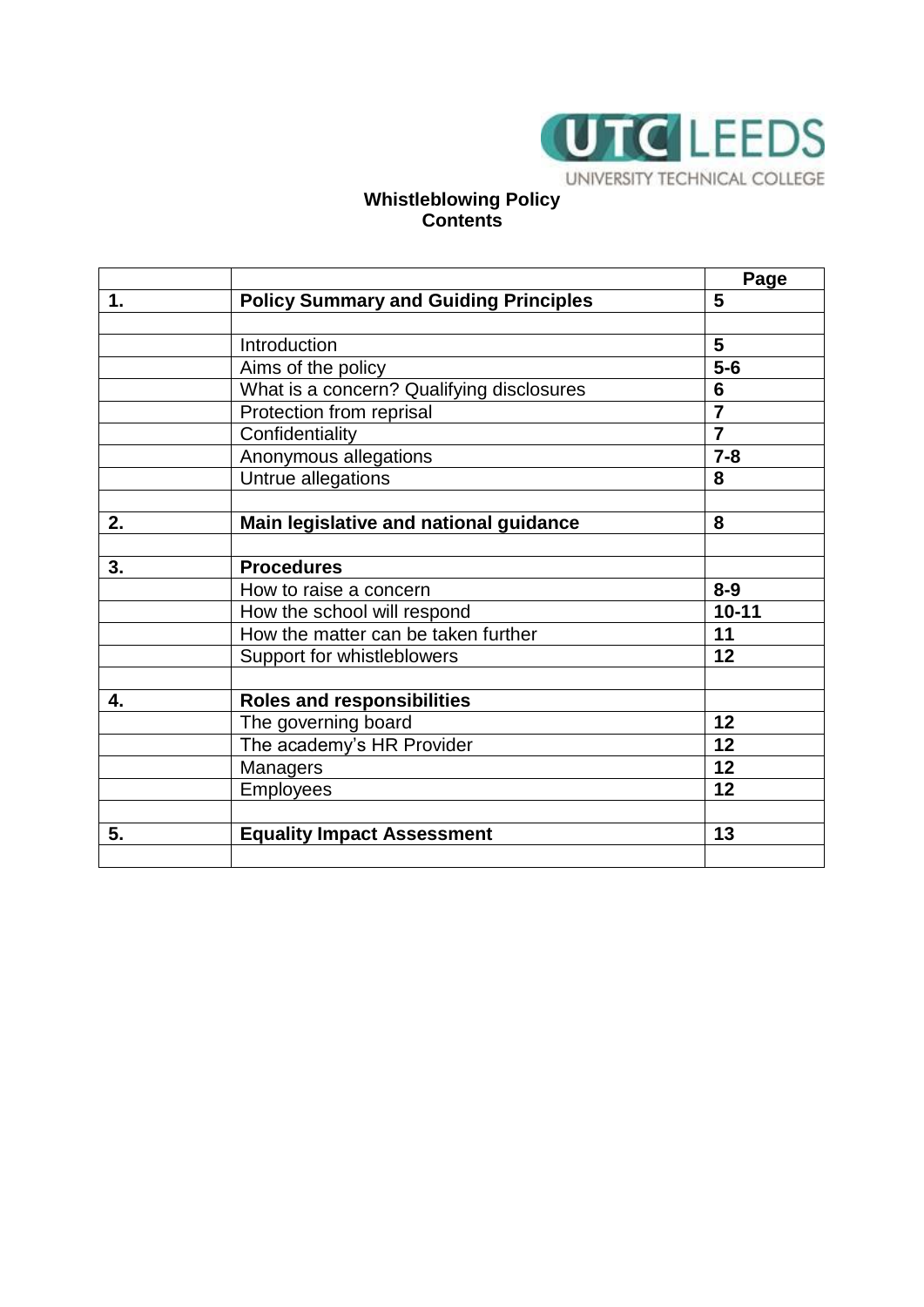

### **Whistleblowing Policy Contents**

|    |                                              | Page                    |
|----|----------------------------------------------|-------------------------|
| 1. | <b>Policy Summary and Guiding Principles</b> | 5                       |
|    |                                              |                         |
|    | Introduction                                 | 5                       |
|    | Aims of the policy                           | $5-6$                   |
|    | What is a concern? Qualifying disclosures    | 6                       |
|    | Protection from reprisal                     | $\overline{\mathbf{7}}$ |
|    | Confidentiality                              | $\overline{7}$          |
|    | Anonymous allegations                        | $7 - 8$                 |
|    | Untrue allegations                           | 8                       |
|    |                                              |                         |
| 2. | Main legislative and national guidance       | 8                       |
|    |                                              |                         |
| 3. | <b>Procedures</b>                            |                         |
|    | How to raise a concern                       | $8 - 9$                 |
|    | How the school will respond                  | $10 - 11$               |
|    | How the matter can be taken further          | 11                      |
|    | Support for whistleblowers                   | 12                      |
|    |                                              |                         |
| 4. | <b>Roles and responsibilities</b>            |                         |
|    | The governing board                          | 12                      |
|    | The academy's HR Provider                    | 12                      |
|    | Managers                                     | 12                      |
|    | <b>Employees</b>                             | 12                      |
|    |                                              |                         |
| 5. | <b>Equality Impact Assessment</b>            | 13                      |
|    |                                              |                         |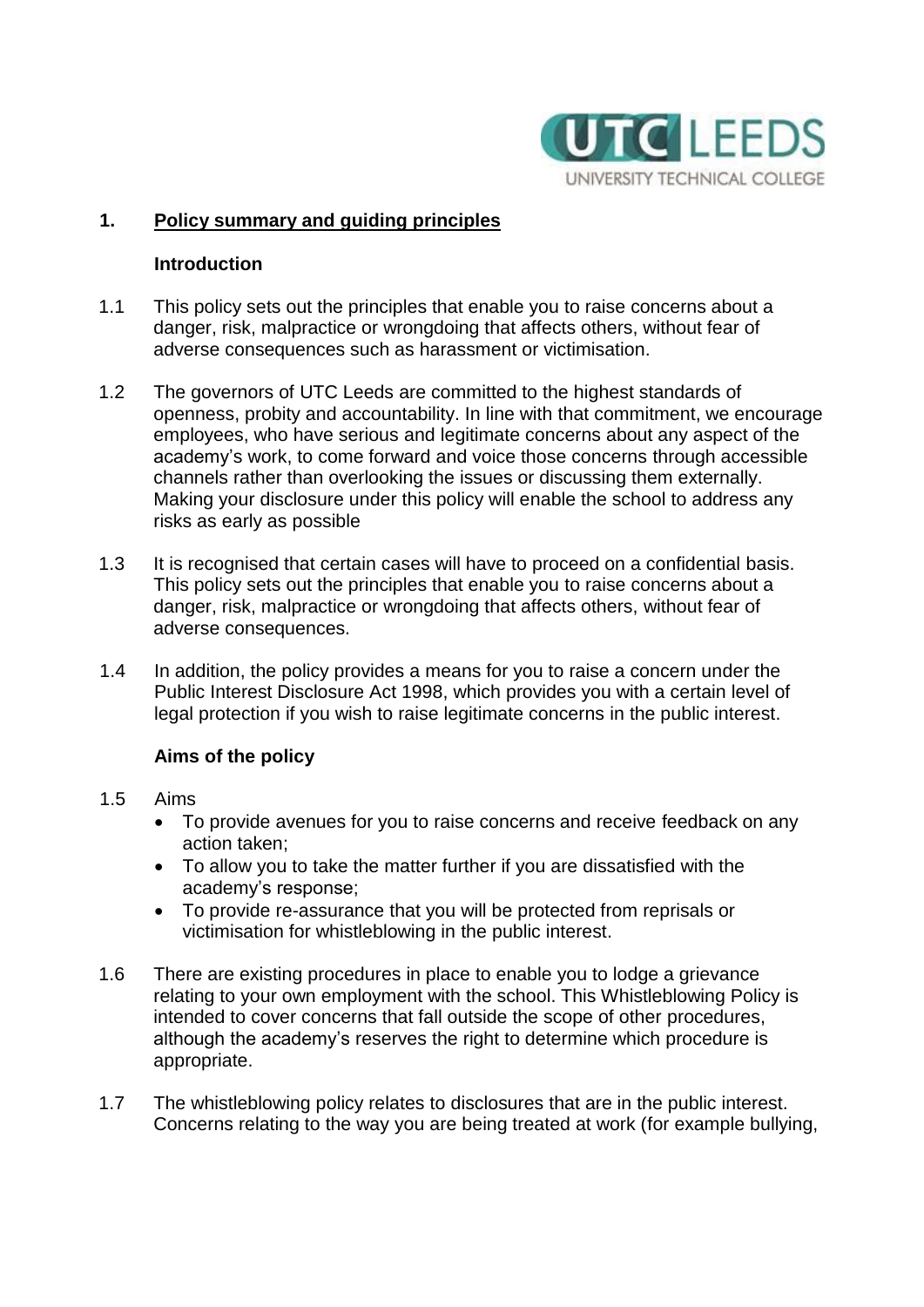

#### **1. Policy summary and guiding principles**

#### **Introduction**

- 1.1 This policy sets out the principles that enable you to raise concerns about a danger, risk, malpractice or wrongdoing that affects others, without fear of adverse consequences such as harassment or victimisation.
- 1.2 The governors of UTC Leeds are committed to the highest standards of openness, probity and accountability. In line with that commitment, we encourage employees, who have serious and legitimate concerns about any aspect of the academy's work, to come forward and voice those concerns through accessible channels rather than overlooking the issues or discussing them externally. Making your disclosure under this policy will enable the school to address any risks as early as possible
- 1.3 It is recognised that certain cases will have to proceed on a confidential basis. This policy sets out the principles that enable you to raise concerns about a danger, risk, malpractice or wrongdoing that affects others, without fear of adverse consequences.
- 1.4 In addition, the policy provides a means for you to raise a concern under the Public Interest Disclosure Act 1998, which provides you with a certain level of legal protection if you wish to raise legitimate concerns in the public interest.

# **Aims of the policy**

- 1.5 Aims
	- To provide avenues for you to raise concerns and receive feedback on any action taken;
	- To allow you to take the matter further if you are dissatisfied with the academy's response;
	- To provide re-assurance that you will be protected from reprisals or victimisation for whistleblowing in the public interest.
- 1.6 There are existing procedures in place to enable you to lodge a grievance relating to your own employment with the school. This Whistleblowing Policy is intended to cover concerns that fall outside the scope of other procedures, although the academy's reserves the right to determine which procedure is appropriate.
- 1.7 The whistleblowing policy relates to disclosures that are in the public interest. Concerns relating to the way you are being treated at work (for example bullying,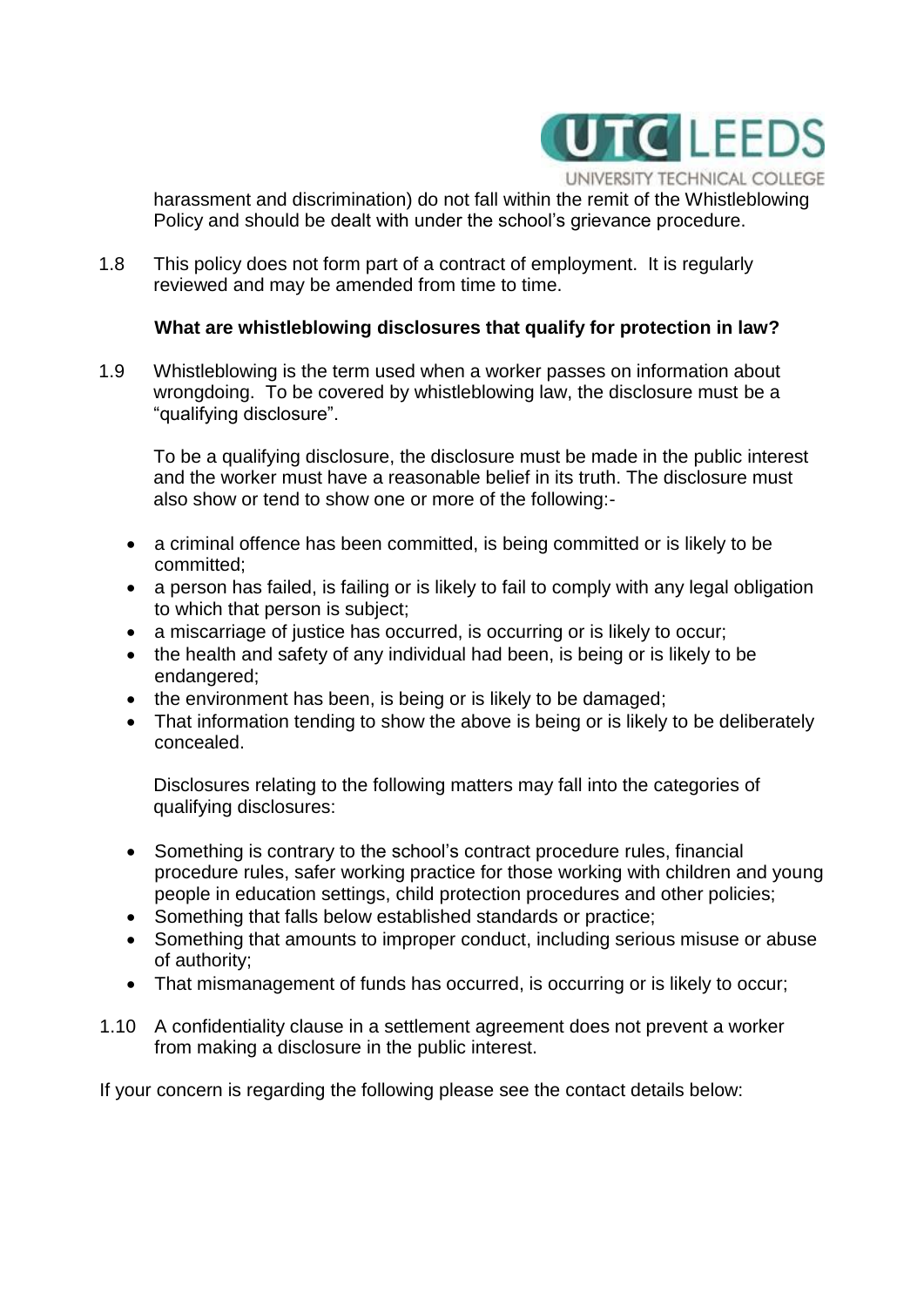

harassment and discrimination) do not fall within the remit of the Whistleblowing Policy and should be dealt with under the school's grievance procedure.

1.8 This policy does not form part of a contract of employment. It is regularly reviewed and may be amended from time to time.

#### **What are whistleblowing disclosures that qualify for protection in law?**

1.9 Whistleblowing is the term used when a worker passes on information about wrongdoing. To be covered by whistleblowing law, the disclosure must be a "qualifying disclosure".

To be a qualifying disclosure, the disclosure must be made in the public interest and the worker must have a reasonable belief in its truth. The disclosure must also show or tend to show one or more of the following:-

- a criminal offence has been committed, is being committed or is likely to be committed;
- a person has failed, is failing or is likely to fail to comply with any legal obligation to which that person is subject;
- a miscarriage of justice has occurred, is occurring or is likely to occur;
- the health and safety of any individual had been, is being or is likely to be endangered;
- the environment has been, is being or is likely to be damaged;
- That information tending to show the above is being or is likely to be deliberately concealed.

Disclosures relating to the following matters may fall into the categories of qualifying disclosures:

- Something is contrary to the school's contract procedure rules, financial procedure rules, safer working practice for those working with children and young people in education settings, child protection procedures and other policies;
- Something that falls below established standards or practice;
- Something that amounts to improper conduct, including serious misuse or abuse of authority;
- That mismanagement of funds has occurred, is occurring or is likely to occur;
- 1.10 A confidentiality clause in a settlement agreement does not prevent a worker from making a disclosure in the public interest.

If your concern is regarding the following please see the contact details below: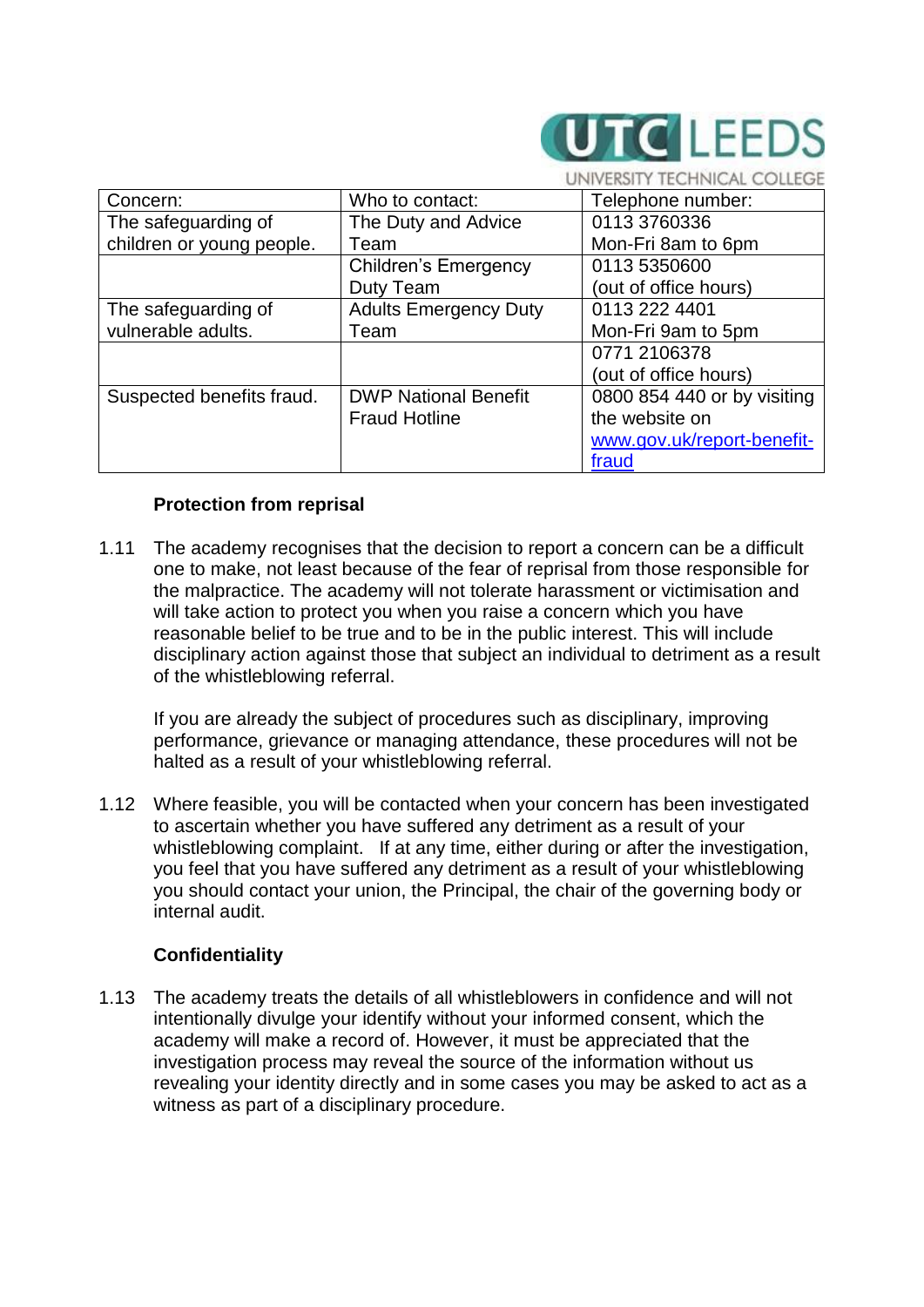

|                           |                              | eksilt technical culleue    |
|---------------------------|------------------------------|-----------------------------|
| Concern:                  | Who to contact:              | Telephone number:           |
| The safeguarding of       | The Duty and Advice          | 0113 3760336                |
| children or young people. | Team                         | Mon-Fri 8am to 6pm          |
|                           | Children's Emergency         | 0113 5350600                |
|                           | Duty Team                    | (out of office hours)       |
| The safeguarding of       | <b>Adults Emergency Duty</b> | 0113 222 4401               |
| vulnerable adults.        | Team                         | Mon-Fri 9am to 5pm          |
|                           |                              | 0771 2106378                |
|                           |                              | (out of office hours)       |
| Suspected benefits fraud. | <b>DWP National Benefit</b>  | 0800 854 440 or by visiting |
|                           | <b>Fraud Hotline</b>         | the website on              |
|                           |                              | www.gov.uk/report-benefit-  |
|                           |                              | fraud                       |

# **Protection from reprisal**

1.11 The academy recognises that the decision to report a concern can be a difficult one to make, not least because of the fear of reprisal from those responsible for the malpractice. The academy will not tolerate harassment or victimisation and will take action to protect you when you raise a concern which you have reasonable belief to be true and to be in the public interest. This will include disciplinary action against those that subject an individual to detriment as a result of the whistleblowing referral.

If you are already the subject of procedures such as disciplinary, improving performance, grievance or managing attendance, these procedures will not be halted as a result of your whistleblowing referral.

1.12 Where feasible, you will be contacted when your concern has been investigated to ascertain whether you have suffered any detriment as a result of your whistleblowing complaint. If at any time, either during or after the investigation, you feel that you have suffered any detriment as a result of your whistleblowing you should contact your union, the Principal, the chair of the governing body or internal audit.

# **Confidentiality**

1.13 The academy treats the details of all whistleblowers in confidence and will not intentionally divulge your identify without your informed consent, which the academy will make a record of. However, it must be appreciated that the investigation process may reveal the source of the information without us revealing your identity directly and in some cases you may be asked to act as a witness as part of a disciplinary procedure.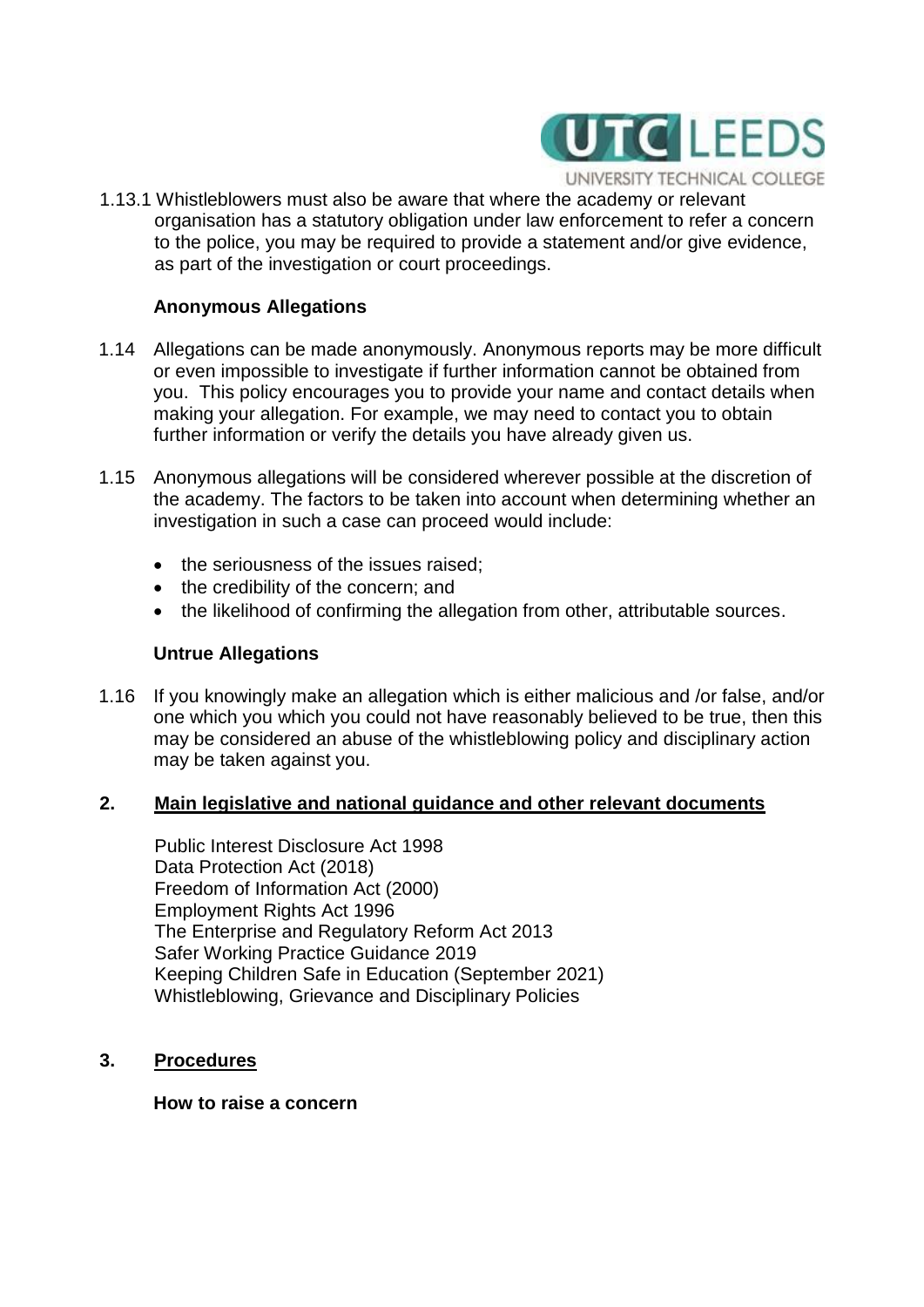

1.13.1 Whistleblowers must also be aware that where the academy or relevant organisation has a statutory obligation under law enforcement to refer a concern to the police, you may be required to provide a statement and/or give evidence, as part of the investigation or court proceedings.

#### **Anonymous Allegations**

- 1.14 Allegations can be made anonymously. Anonymous reports may be more difficult or even impossible to investigate if further information cannot be obtained from you. This policy encourages you to provide your name and contact details when making your allegation. For example, we may need to contact you to obtain further information or verify the details you have already given us.
- 1.15 Anonymous allegations will be considered wherever possible at the discretion of the academy. The factors to be taken into account when determining whether an investigation in such a case can proceed would include:
	- the seriousness of the issues raised;
	- the credibility of the concern; and
	- the likelihood of confirming the allegation from other, attributable sources.

#### **Untrue Allegations**

1.16 If you knowingly make an allegation which is either malicious and /or false, and/or one which you which you could not have reasonably believed to be true, then this may be considered an abuse of the whistleblowing policy and disciplinary action may be taken against you.

#### **2. Main legislative and national guidance and other relevant documents**

Public Interest Disclosure Act 1998 Data Protection Act (2018) Freedom of Information Act (2000) Employment Rights Act 1996 The Enterprise and Regulatory Reform Act 2013 Safer Working Practice Guidance 2019 Keeping Children Safe in Education (September 2021) Whistleblowing, Grievance and Disciplinary Policies

**3. Procedures**

**How to raise a concern**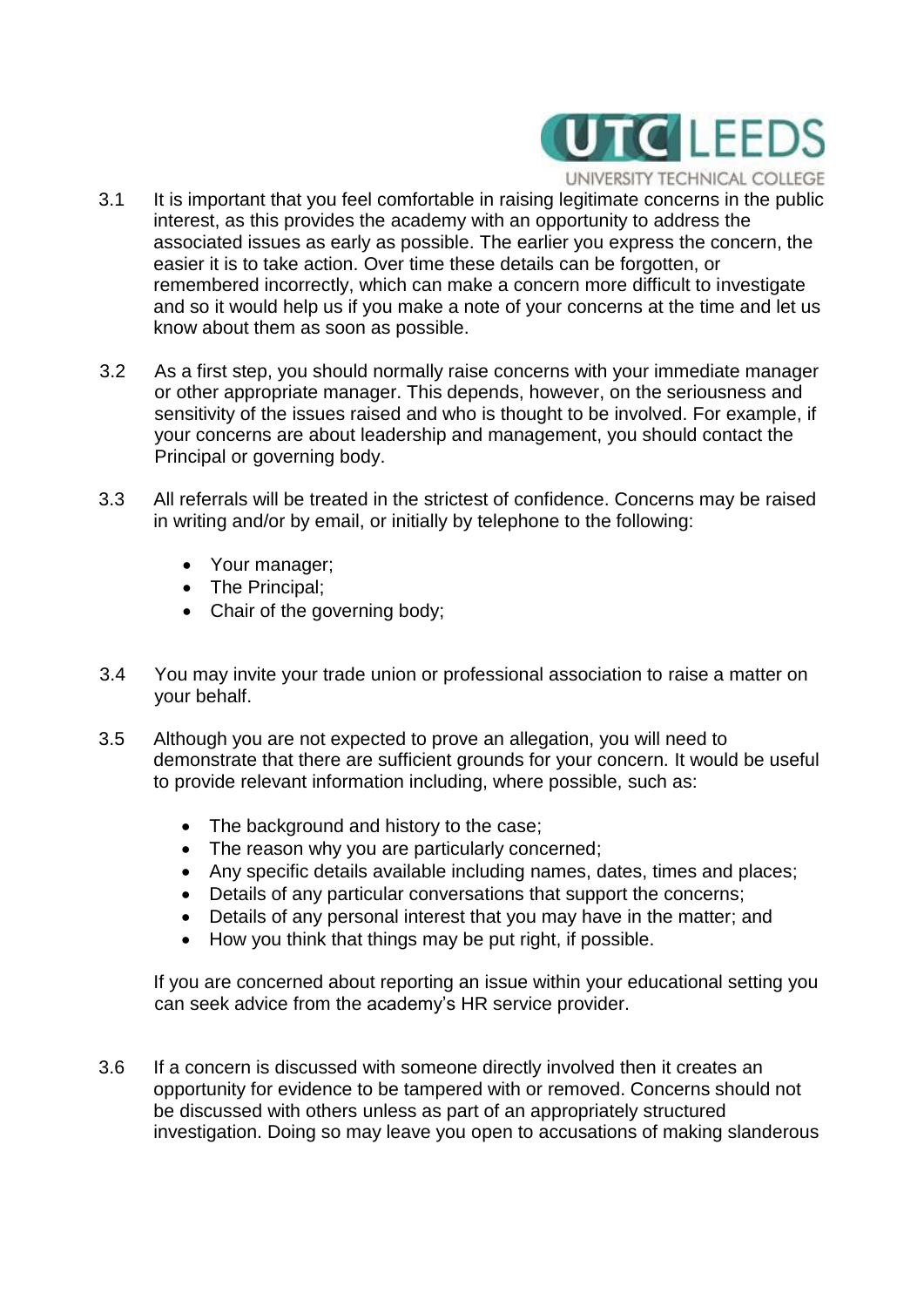

UNIVERSITY TECHNICAL COLLEGE

- 3.1 It is important that you feel comfortable in raising legitimate concerns in the public interest, as this provides the academy with an opportunity to address the associated issues as early as possible. The earlier you express the concern, the easier it is to take action. Over time these details can be forgotten, or remembered incorrectly, which can make a concern more difficult to investigate and so it would help us if you make a note of your concerns at the time and let us know about them as soon as possible.
- 3.2 As a first step, you should normally raise concerns with your immediate manager or other appropriate manager. This depends, however, on the seriousness and sensitivity of the issues raised and who is thought to be involved. For example, if your concerns are about leadership and management, you should contact the Principal or governing body.
- 3.3 All referrals will be treated in the strictest of confidence. Concerns may be raised in writing and/or by email, or initially by telephone to the following:
	- Your manager;
	- The Principal;
	- Chair of the governing body;
- 3.4 You may invite your trade union or professional association to raise a matter on your behalf.
- 3.5 Although you are not expected to prove an allegation, you will need to demonstrate that there are sufficient grounds for your concern. It would be useful to provide relevant information including, where possible, such as:
	- The background and history to the case;
	- The reason why you are particularly concerned;
	- Any specific details available including names, dates, times and places;
	- Details of any particular conversations that support the concerns;
	- Details of any personal interest that you may have in the matter; and
	- How you think that things may be put right, if possible.

If you are concerned about reporting an issue within your educational setting you can seek advice from the academy's HR service provider.

3.6 If a concern is discussed with someone directly involved then it creates an opportunity for evidence to be tampered with or removed. Concerns should not be discussed with others unless as part of an appropriately structured investigation. Doing so may leave you open to accusations of making slanderous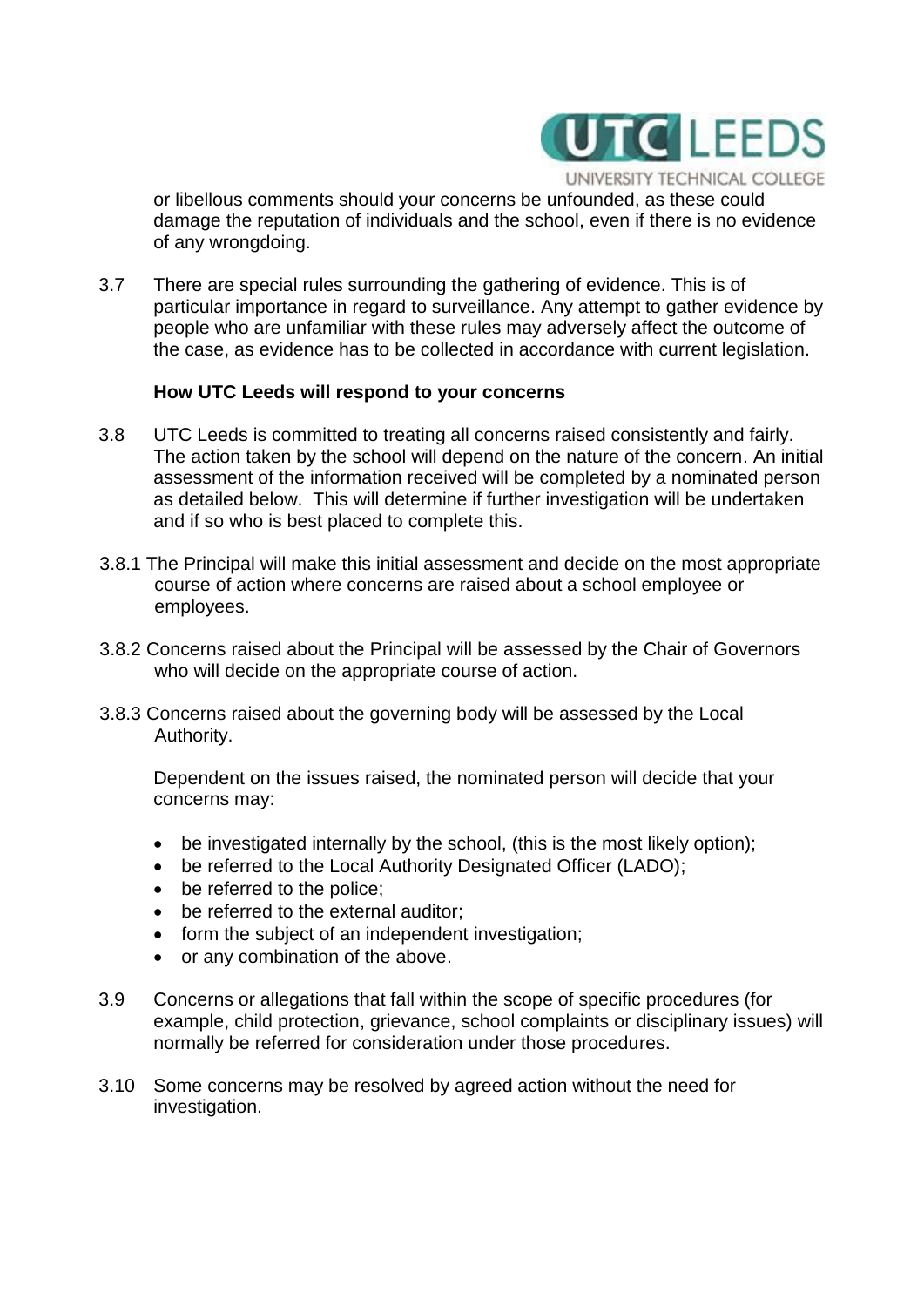

UNIVERSITY TECHNICAL COLLEGE or libellous comments should your concerns be unfounded, as these could

damage the reputation of individuals and the school, even if there is no evidence of any wrongdoing.

3.7 There are special rules surrounding the gathering of evidence. This is of particular importance in regard to surveillance. Any attempt to gather evidence by people who are unfamiliar with these rules may adversely affect the outcome of the case, as evidence has to be collected in accordance with current legislation.

#### **How UTC Leeds will respond to your concerns**

- 3.8 UTC Leeds is committed to treating all concerns raised consistently and fairly. The action taken by the school will depend on the nature of the concern. An initial assessment of the information received will be completed by a nominated person as detailed below. This will determine if further investigation will be undertaken and if so who is best placed to complete this.
- 3.8.1 The Principal will make this initial assessment and decide on the most appropriate course of action where concerns are raised about a school employee or employees.
- 3.8.2 Concerns raised about the Principal will be assessed by the Chair of Governors who will decide on the appropriate course of action.
- 3.8.3 Concerns raised about the governing body will be assessed by the Local Authority.

Dependent on the issues raised, the nominated person will decide that your concerns may:

- be investigated internally by the school, (this is the most likely option);
- be referred to the Local Authority Designated Officer (LADO);
- be referred to the police;
- be referred to the external auditor:
- form the subject of an independent investigation;
- or any combination of the above.
- 3.9 Concerns or allegations that fall within the scope of specific procedures (for example, child protection, grievance, school complaints or disciplinary issues) will normally be referred for consideration under those procedures.
- 3.10 Some concerns may be resolved by agreed action without the need for investigation.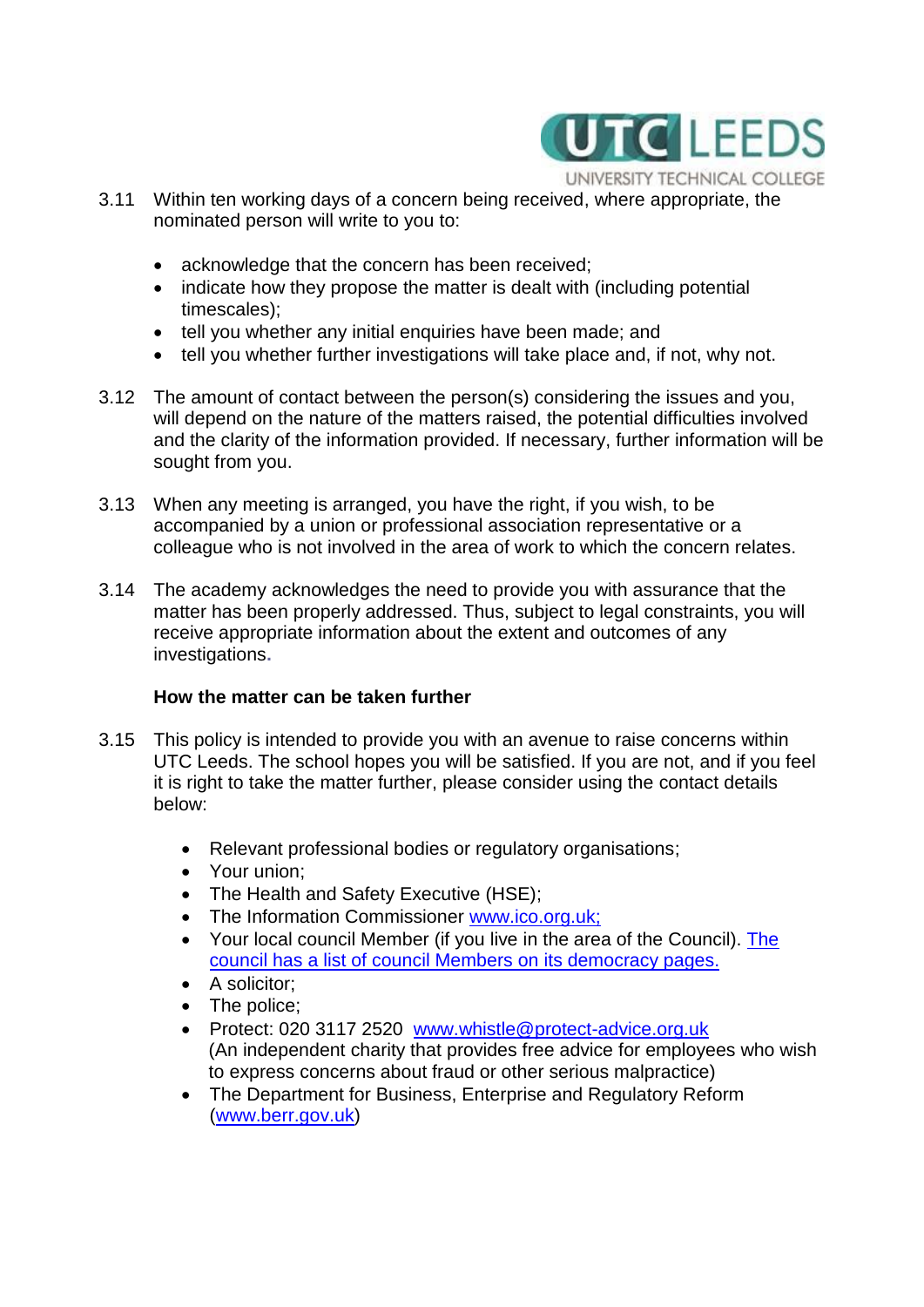

- 3.11 Within ten working days of a concern being received, where appropriate, the nominated person will write to you to:
	- acknowledge that the concern has been received;
	- indicate how they propose the matter is dealt with (including potential timescales);
	- tell you whether any initial enquiries have been made; and
	- tell you whether further investigations will take place and, if not, why not.
- 3.12 The amount of contact between the person(s) considering the issues and you, will depend on the nature of the matters raised, the potential difficulties involved and the clarity of the information provided. If necessary, further information will be sought from you.
- 3.13 When any meeting is arranged, you have the right, if you wish, to be accompanied by a union or professional association representative or a colleague who is not involved in the area of work to which the concern relates.
- 3.14 The academy acknowledges the need to provide you with assurance that the matter has been properly addressed. Thus, subject to legal constraints, you will receive appropriate information about the extent and outcomes of any investigations**.**

#### **How the matter can be taken further**

- 3.15 This policy is intended to provide you with an avenue to raise concerns within UTC Leeds. The school hopes you will be satisfied. If you are not, and if you feel it is right to take the matter further, please consider using the contact details below:
	- Relevant professional bodies or regulatory organisations;
	- Your union;
	- The Health and Safety Executive (HSE);
	- The Information Commissioner [www.ico.org.uk;](http://www.ico.org.uk/)
	- Your local council Member (if you live in the area of the Council). The [council has a list of council Members](https://democracy.leeds.gov.uk/mgMemberIndex.aspx?bcr=1) on its democracy pages.
	- A solicitor;
	- The police:
	- Protect: 020 3117 2520 [www.whistle@protect-advice.org.uk](http://www.whistle@protect-advice.org.uk) (An independent charity that provides free advice for employees who wish to express concerns about fraud or other serious malpractice)
	- The Department for Business, Enterprise and Regulatory Reform [\(www.berr.gov.uk\)](http://www.berr.gov.uk/)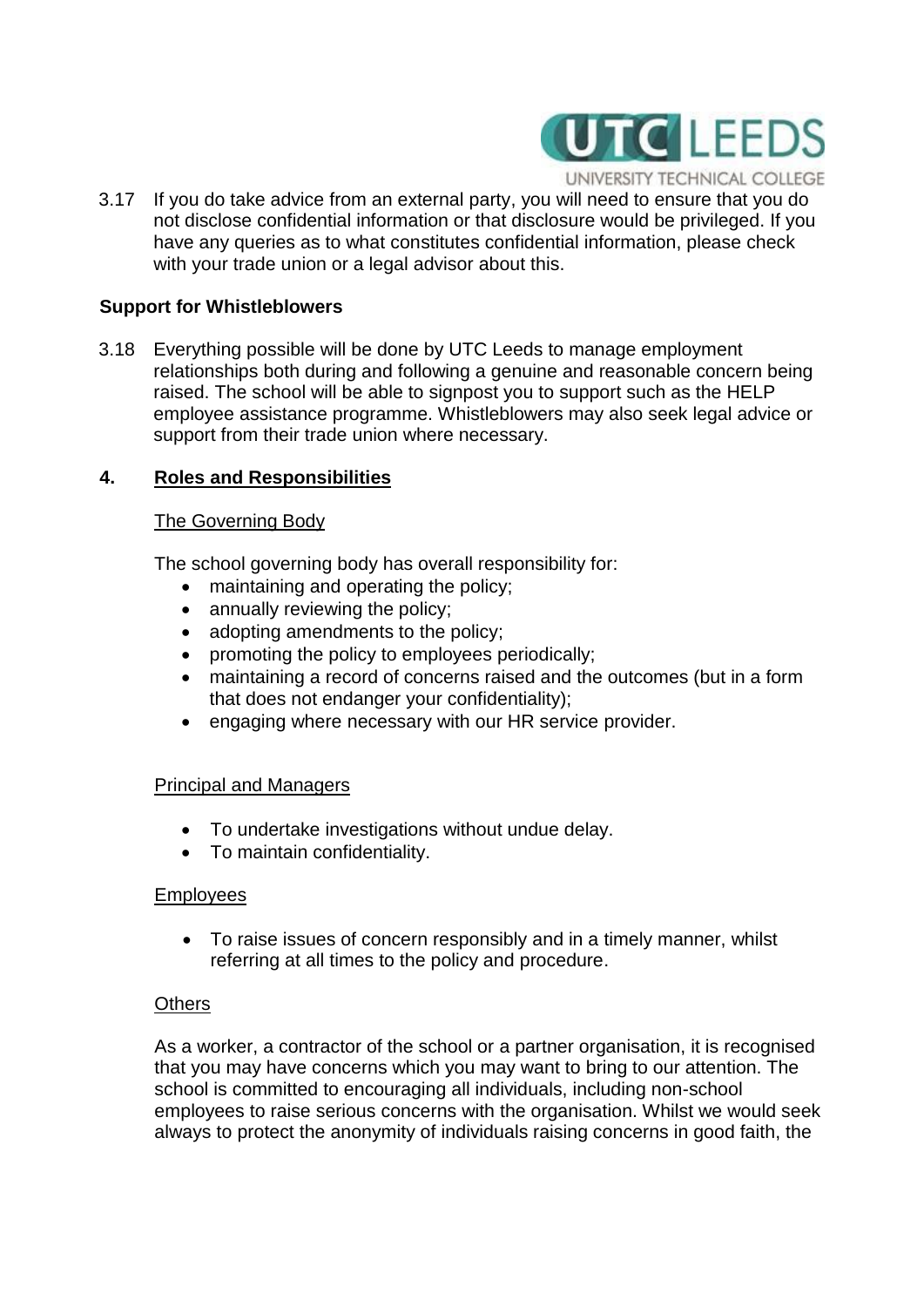

UNIVERSITY TECHNICAL COLLEGE

3.17 If you do take advice from an external party, you will need to ensure that you do not disclose confidential information or that disclosure would be privileged. If you have any queries as to what constitutes confidential information, please check with your trade union or a legal advisor about this.

#### **Support for Whistleblowers**

3.18 Everything possible will be done by UTC Leeds to manage employment relationships both during and following a genuine and reasonable concern being raised. The school will be able to signpost you to support such as the HELP employee assistance programme. Whistleblowers may also seek legal advice or support from their trade union where necessary.

# **4. Roles and Responsibilities**

#### The Governing Body

The school governing body has overall responsibility for:

- maintaining and operating the policy:
- annually reviewing the policy;
- adopting amendments to the policy;
- promoting the policy to employees periodically;
- maintaining a record of concerns raised and the outcomes (but in a form that does not endanger your confidentiality);
- engaging where necessary with our HR service provider.

#### Principal and Managers

- To undertake investigations without undue delay.
- To maintain confidentiality.

#### **Employees**

 To raise issues of concern responsibly and in a timely manner, whilst referring at all times to the policy and procedure.

#### **Others**

As a worker, a contractor of the school or a partner organisation, it is recognised that you may have concerns which you may want to bring to our attention. The school is committed to encouraging all individuals, including non-school employees to raise serious concerns with the organisation. Whilst we would seek always to protect the anonymity of individuals raising concerns in good faith, the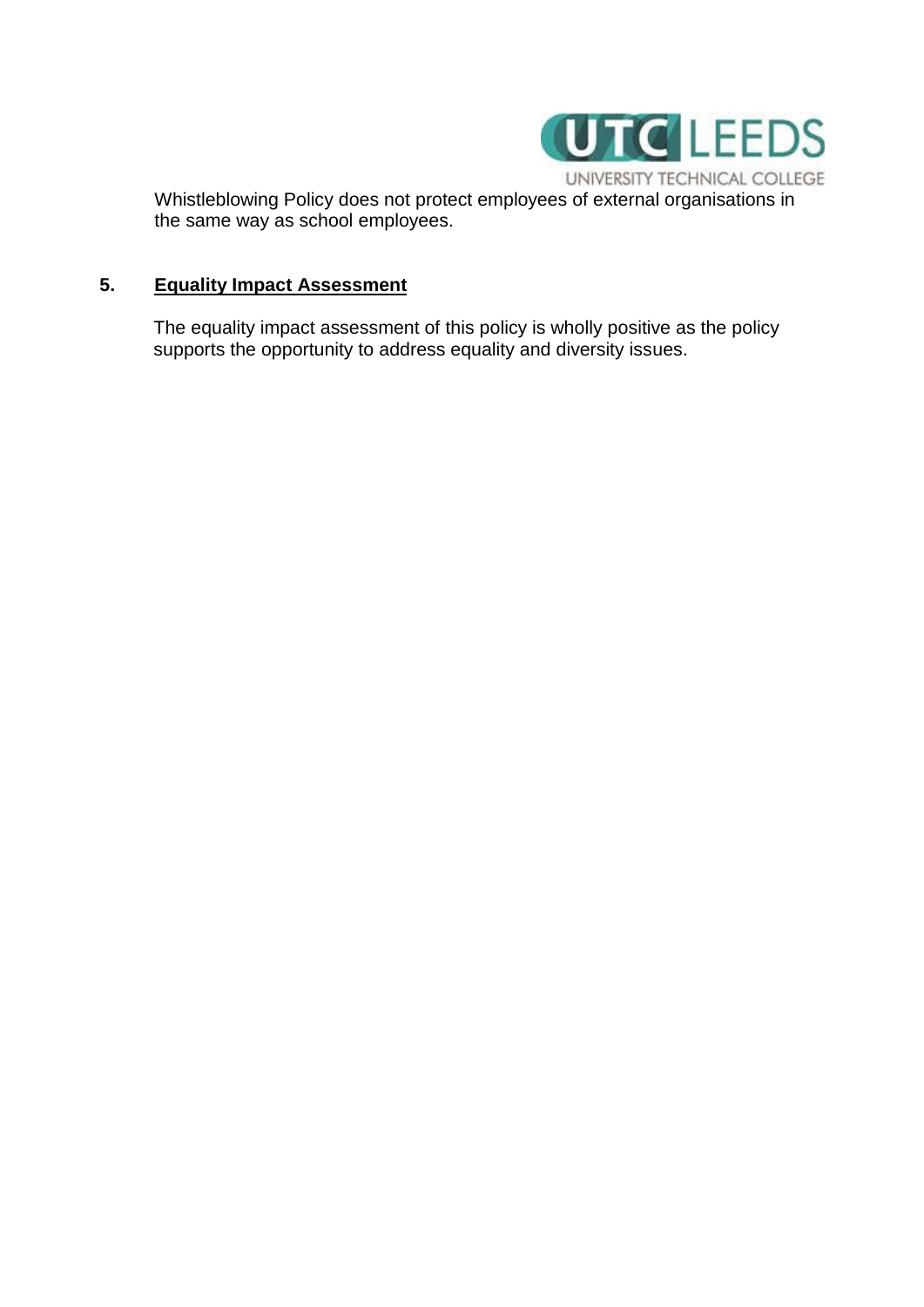

Whistleblowing Policy does not protect employees of external organisations in the same way as school employees.

# **5. Equality Impact Assessment**

The equality impact assessment of this policy is wholly positive as the policy supports the opportunity to address equality and diversity issues.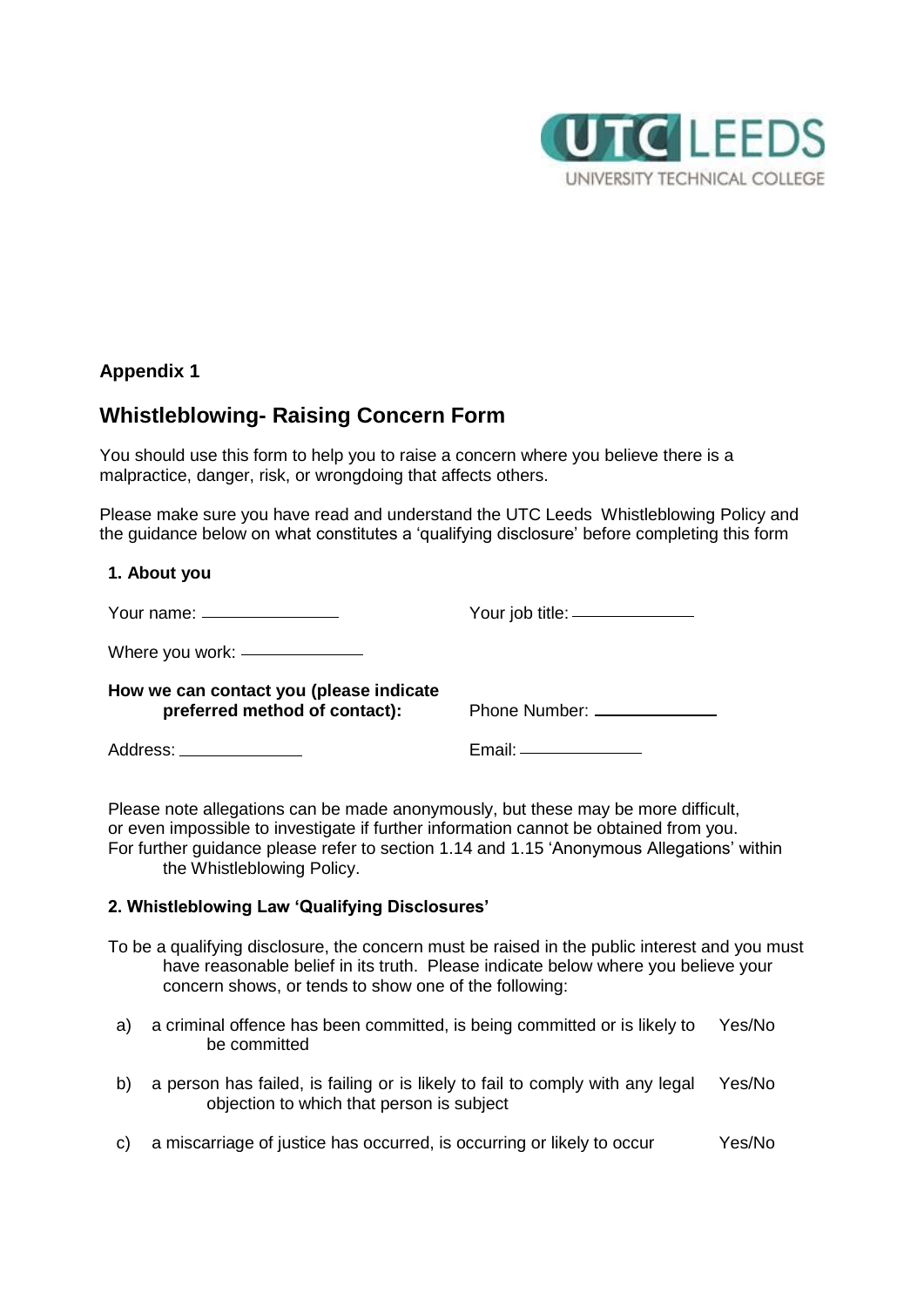

# **Appendix 1**

# **Whistleblowing- Raising Concern Form**

You should use this form to help you to raise a concern where you believe there is a malpractice, danger, risk, or wrongdoing that affects others.

Please make sure you have read and understand the UTC Leeds Whistleblowing Policy and the guidance below on what constitutes a 'qualifying disclosure' before completing this form

#### **1. About you**

| Your name: $\frac{1}{2}$                                                 | Your job title: _______________ |
|--------------------------------------------------------------------------|---------------------------------|
| Where you work: _______________                                          |                                 |
| How we can contact you (please indicate<br>preferred method of contact): | Phone Number: _______________   |
| Address: _______________                                                 | Email: _______________          |

Please note allegations can be made anonymously, but these may be more difficult, or even impossible to investigate if further information cannot be obtained from you. For further guidance please refer to section 1.14 and 1.15 'Anonymous Allegations' within the Whistleblowing Policy.

#### **2. Whistleblowing Law 'Qualifying Disclosures'**

- To be a qualifying disclosure, the concern must be raised in the public interest and you must have reasonable belief in its truth. Please indicate below where you believe your concern shows, or tends to show one of the following:
- a) a criminal offence has been committed, is being committed or is likely to be committed Yes/No
- b) a person has failed, is failing or is likely to fail to comply with any legal objection to which that person is subject Yes/No
- c) a miscarriage of justice has occurred, is occurring or likely to occur Yes/No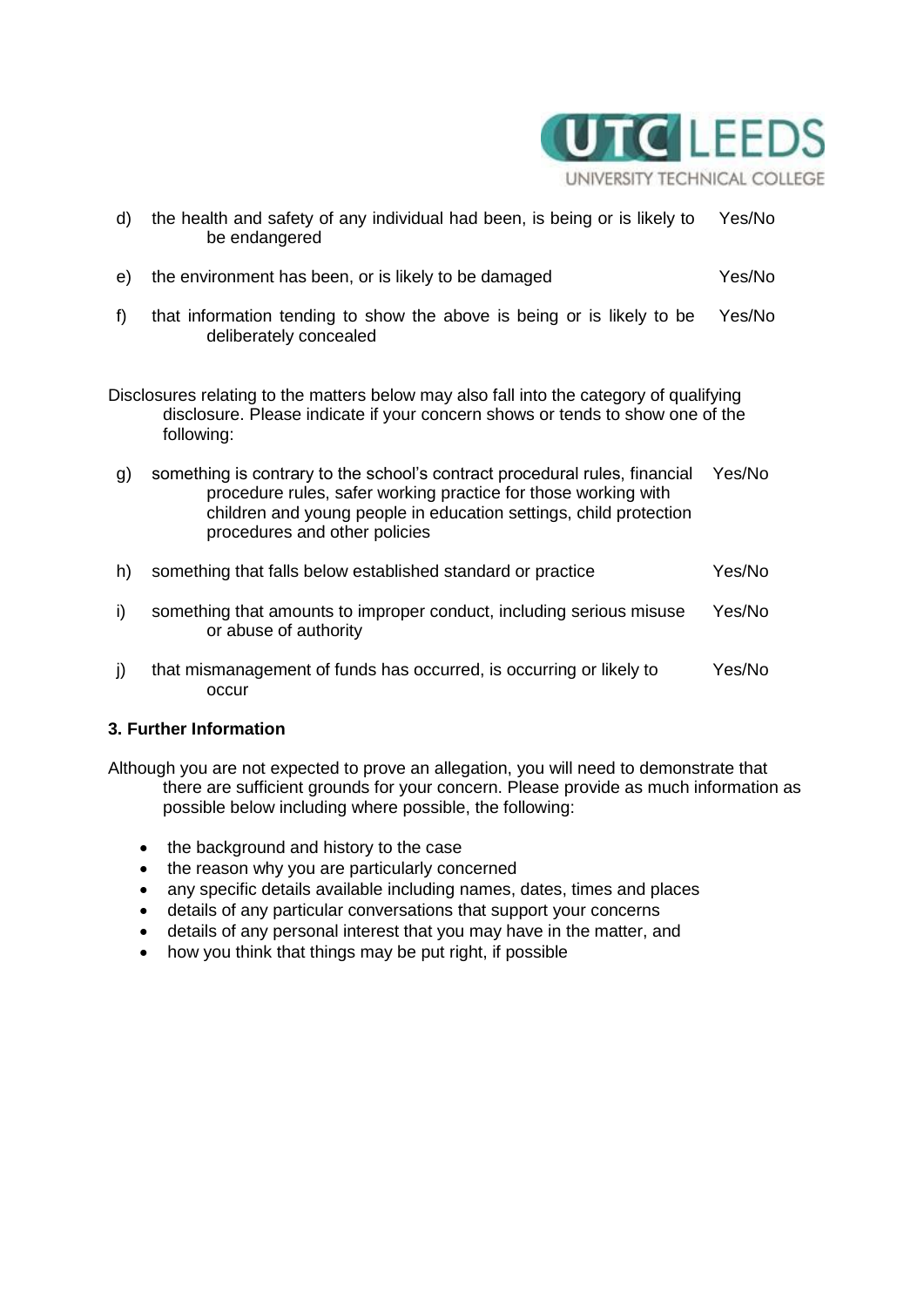

- d) the health and safety of any individual had been, is being or is likely to be endangered Yes/No e) the environment has been, or is likely to be damaged Yes/No f) that information tending to show the above is being or is likely to be deliberately concealed Yes/No Disclosures relating to the matters below may also fall into the category of qualifying disclosure. Please indicate if your concern shows or tends to show one of the following: g) something is contrary to the school's contract procedural rules, financial Yes/No procedure rules, safer working practice for those working with children and young people in education settings, child protection procedures and other policies h) something that falls below established standard or practice Yes/No
- i) something that amounts to improper conduct, including serious misuse or abuse of authority Yes/No
- j) that mismanagement of funds has occurred, is occurring or likely to occur Yes/No

#### **3. Further Information**

- Although you are not expected to prove an allegation, you will need to demonstrate that there are sufficient grounds for your concern. Please provide as much information as possible below including where possible, the following:
	- the background and history to the case
	- the reason why you are particularly concerned
	- any specific details available including names, dates, times and places
	- details of any particular conversations that support your concerns
	- details of any personal interest that you may have in the matter, and
	- how you think that things may be put right, if possible